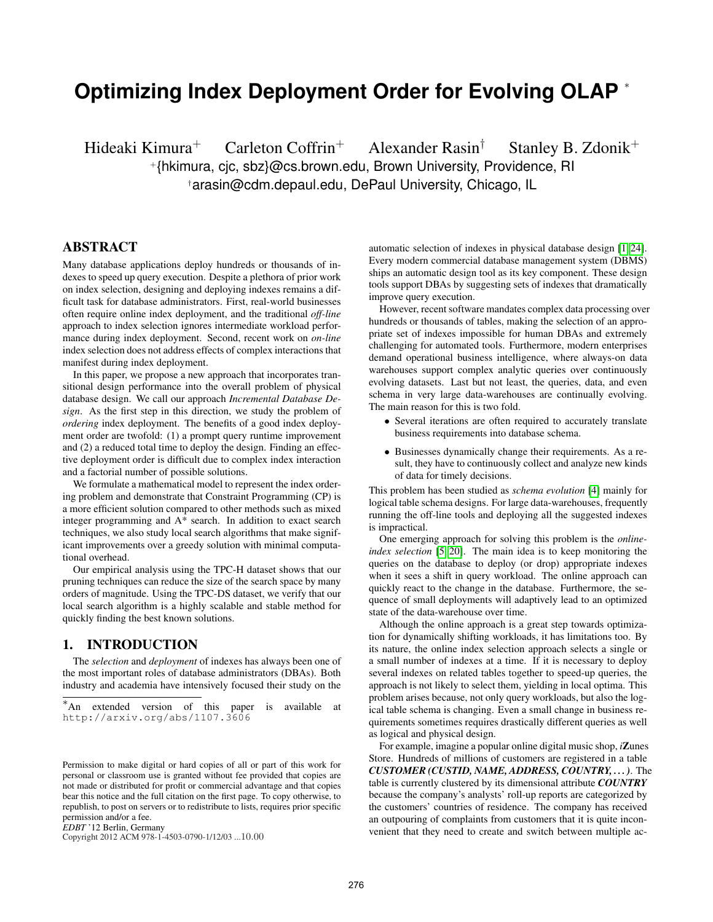# **Optimizing Index Deployment Order for Evolving OLAP** <sup>∗</sup>

Hideaki Kimura<sup>+</sup> Carleton Coffrin<sup>+</sup> Alexander Rasin<sup>†</sup> Stanley B. Zdonik<sup>+</sup> <sup>+</sup>{hkimura, cjc, sbz}@cs.brown.edu, Brown University, Providence, RI †arasin@cdm.depaul.edu, DePaul University, Chicago, IL

# ABSTRACT

Many database applications deploy hundreds or thousands of indexes to speed up query execution. Despite a plethora of prior work on index selection, designing and deploying indexes remains a difficult task for database administrators. First, real-world businesses often require online index deployment, and the traditional *off-line* approach to index selection ignores intermediate workload performance during index deployment. Second, recent work on *on-line* index selection does not address effects of complex interactions that manifest during index deployment.

In this paper, we propose a new approach that incorporates transitional design performance into the overall problem of physical database design. We call our approach *Incremental Database Design*. As the first step in this direction, we study the problem of *ordering* index deployment. The benefits of a good index deployment order are twofold: (1) a prompt query runtime improvement and (2) a reduced total time to deploy the design. Finding an effective deployment order is difficult due to complex index interaction and a factorial number of possible solutions.

We formulate a mathematical model to represent the index ordering problem and demonstrate that Constraint Programming (CP) is a more efficient solution compared to other methods such as mixed integer programming and A\* search. In addition to exact search techniques, we also study local search algorithms that make significant improvements over a greedy solution with minimal computational overhead.

Our empirical analysis using the TPC-H dataset shows that our pruning techniques can reduce the size of the search space by many orders of magnitude. Using the TPC-DS dataset, we verify that our local search algorithm is a highly scalable and stable method for quickly finding the best known solutions.

# 1. INTRODUCTION

The *selection* and *deployment* of indexes has always been one of the most important roles of database administrators (DBAs). Both industry and academia have intensively focused their study on the

*EDBT* '12 Berlin, Germany

automatic selection of indexes in physical database design [\[1,](#page-11-0) [24\]](#page-11-1). Every modern commercial database management system (DBMS) ships an automatic design tool as its key component. These design tools support DBAs by suggesting sets of indexes that dramatically improve query execution.

However, recent software mandates complex data processing over hundreds or thousands of tables, making the selection of an appropriate set of indexes impossible for human DBAs and extremely challenging for automated tools. Furthermore, modern enterprises demand operational business intelligence, where always-on data warehouses support complex analytic queries over continuously evolving datasets. Last but not least, the queries, data, and even schema in very large data-warehouses are continually evolving. The main reason for this is two fold.

- Several iterations are often required to accurately translate business requirements into database schema.
- Businesses dynamically change their requirements. As a result, they have to continuously collect and analyze new kinds of data for timely decisions.

This problem has been studied as *schema evolution* [\[4\]](#page-11-2) mainly for logical table schema designs. For large data-warehouses, frequently running the off-line tools and deploying all the suggested indexes is impractical.

One emerging approach for solving this problem is the *onlineindex selection* [\[5,](#page-11-3) [20\]](#page-11-4). The main idea is to keep monitoring the queries on the database to deploy (or drop) appropriate indexes when it sees a shift in query workload. The online approach can quickly react to the change in the database. Furthermore, the sequence of small deployments will adaptively lead to an optimized state of the data-warehouse over time.

Although the online approach is a great step towards optimization for dynamically shifting workloads, it has limitations too. By its nature, the online index selection approach selects a single or a small number of indexes at a time. If it is necessary to deploy several indexes on related tables together to speed-up queries, the approach is not likely to select them, yielding in local optima. This problem arises because, not only query workloads, but also the logical table schema is changing. Even a small change in business requirements sometimes requires drastically different queries as well as logical and physical design.

For example, imagine a popular online digital music shop, *i*Zunes Store. Hundreds of millions of customers are registered in a table *CUSTOMER (CUSTID, NAME, ADDRESS, COUNTRY, . . . )*. The table is currently clustered by its dimensional attribute *COUNTRY* because the company's analysts' roll-up reports are categorized by the customers' countries of residence. The company has received an outpouring of complaints from customers that it is quite inconvenient that they need to create and switch between multiple ac-

<sup>∗</sup>An extended version of this paper is available at http://arxiv.org/abs/1107.3606

Permission to make digital or hard copies of all or part of this work for personal or classroom use is granted without fee provided that copies are not made or distributed for profit or commercial advantage and that copies bear this notice and the full citation on the first page. To copy otherwise, to republish, to post on servers or to redistribute to lists, requires prior specific permission and/or a fee.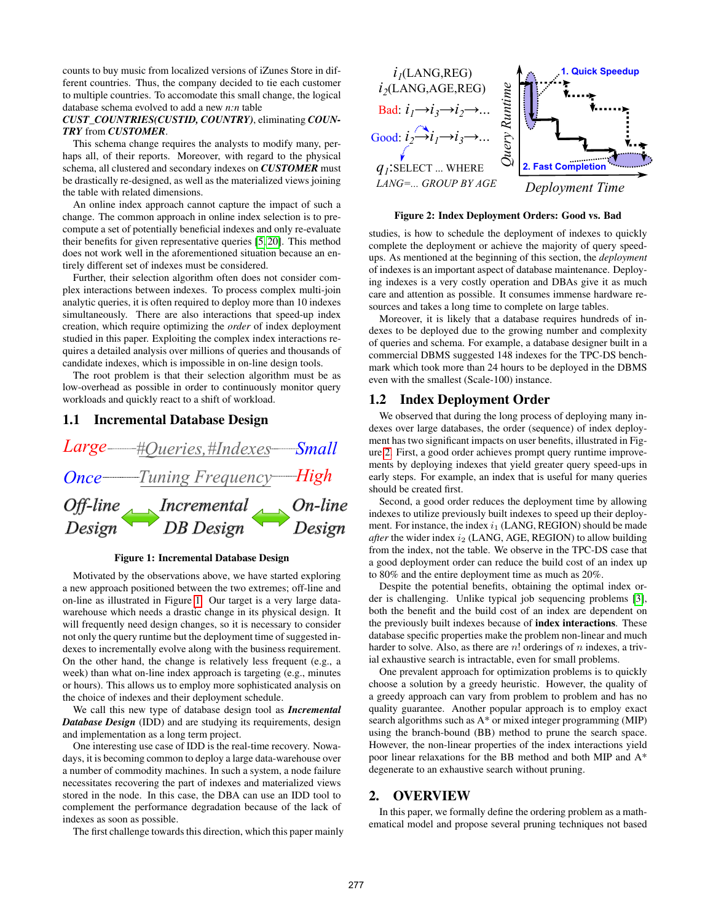counts to buy music from localized versions of iZunes Store in different countries. Thus, the company decided to tie each customer to multiple countries. To accomodate this small change, the logical database schema evolved to add a new *n:n* table

#### *CUST\_COUNTRIES(CUSTID, COUNTRY)*, eliminating *COUN-TRY* from *CUSTOMER*.

This schema change requires the analysts to modify many, perhaps all, of their reports. Moreover, with regard to the physical schema, all clustered and secondary indexes on *CUSTOMER* must be drastically re-designed, as well as the materialized views joining the table with related dimensions.

An online index approach cannot capture the impact of such a change. The common approach in online index selection is to precompute a set of potentially beneficial indexes and only re-evaluate their benefits for given representative queries [\[5,](#page-11-3) [20\]](#page-11-4). This method does not work well in the aforementioned situation because an entirely different set of indexes must be considered.

Further, their selection algorithm often does not consider complex interactions between indexes. To process complex multi-join analytic queries, it is often required to deploy more than 10 indexes simultaneously. There are also interactions that speed-up index creation, which require optimizing the *order* of index deployment studied in this paper. Exploiting the complex index interactions requires a detailed analysis over millions of queries and thousands of candidate indexes, which is impossible in on-line design tools.

The root problem is that their selection algorithm must be as low-overhead as possible in order to continuously monitor query workloads and quickly react to a shift of workload.

# 1.1 Incremental Database Design



#### <span id="page-1-0"></span>Figure 1: Incremental Database Design

Motivated by the observations above, we have started exploring a new approach positioned between the two extremes; off-line and on-line as illustrated in Figure [1.](#page-1-0) Our target is a very large datawarehouse which needs a drastic change in its physical design. It will frequently need design changes, so it is necessary to consider not only the query runtime but the deployment time of suggested indexes to incrementally evolve along with the business requirement. On the other hand, the change is relatively less frequent (e.g., a week) than what on-line index approach is targeting (e.g., minutes or hours). This allows us to employ more sophisticated analysis on the choice of indexes and their deployment schedule.

We call this new type of database design tool as *Incremental Database Design* (IDD) and are studying its requirements, design and implementation as a long term project.

One interesting use case of IDD is the real-time recovery. Nowadays, it is becoming common to deploy a large data-warehouse over a number of commodity machines. In such a system, a node failure necessitates recovering the part of indexes and materialized views stored in the node. In this case, the DBA can use an IDD tool to complement the performance degradation because of the lack of indexes as soon as possible.

The first challenge towards this direction, which this paper mainly



#### <span id="page-1-1"></span>Figure 2: Index Deployment Orders: Good vs. Bad

studies, is how to schedule the deployment of indexes to quickly complete the deployment or achieve the majority of query speedups. As mentioned at the beginning of this section, the *deployment* of indexes is an important aspect of database maintenance. Deploying indexes is a very costly operation and DBAs give it as much care and attention as possible. It consumes immense hardware resources and takes a long time to complete on large tables.

Moreover, it is likely that a database requires hundreds of indexes to be deployed due to the growing number and complexity of queries and schema. For example, a database designer built in a commercial DBMS suggested 148 indexes for the TPC-DS benchmark which took more than 24 hours to be deployed in the DBMS even with the smallest (Scale-100) instance.

### 1.2 Index Deployment Order

We observed that during the long process of deploying many indexes over large databases, the order (sequence) of index deployment has two significant impacts on user benefits, illustrated in Figure [2.](#page-1-1) First, a good order achieves prompt query runtime improvements by deploying indexes that yield greater query speed-ups in early steps. For example, an index that is useful for many queries should be created first.

Second, a good order reduces the deployment time by allowing indexes to utilize previously built indexes to speed up their deployment. For instance, the index  $i_1$  (LANG, REGION) should be made *after* the wider index  $i_2$  (LANG, AGE, REGION) to allow building from the index, not the table. We observe in the TPC-DS case that a good deployment order can reduce the build cost of an index up to 80% and the entire deployment time as much as 20%.

Despite the potential benefits, obtaining the optimal index order is challenging. Unlike typical job sequencing problems [\[3\]](#page-11-5), both the benefit and the build cost of an index are dependent on the previously built indexes because of index interactions. These database specific properties make the problem non-linear and much harder to solve. Also, as there are  $n!$  orderings of  $n$  indexes, a trivial exhaustive search is intractable, even for small problems.

One prevalent approach for optimization problems is to quickly choose a solution by a greedy heuristic. However, the quality of a greedy approach can vary from problem to problem and has no quality guarantee. Another popular approach is to employ exact search algorithms such as A\* or mixed integer programming (MIP) using the branch-bound (BB) method to prune the search space. However, the non-linear properties of the index interactions yield poor linear relaxations for the BB method and both MIP and A\* degenerate to an exhaustive search without pruning.

### 2. OVERVIEW

In this paper, we formally define the ordering problem as a mathematical model and propose several pruning techniques not based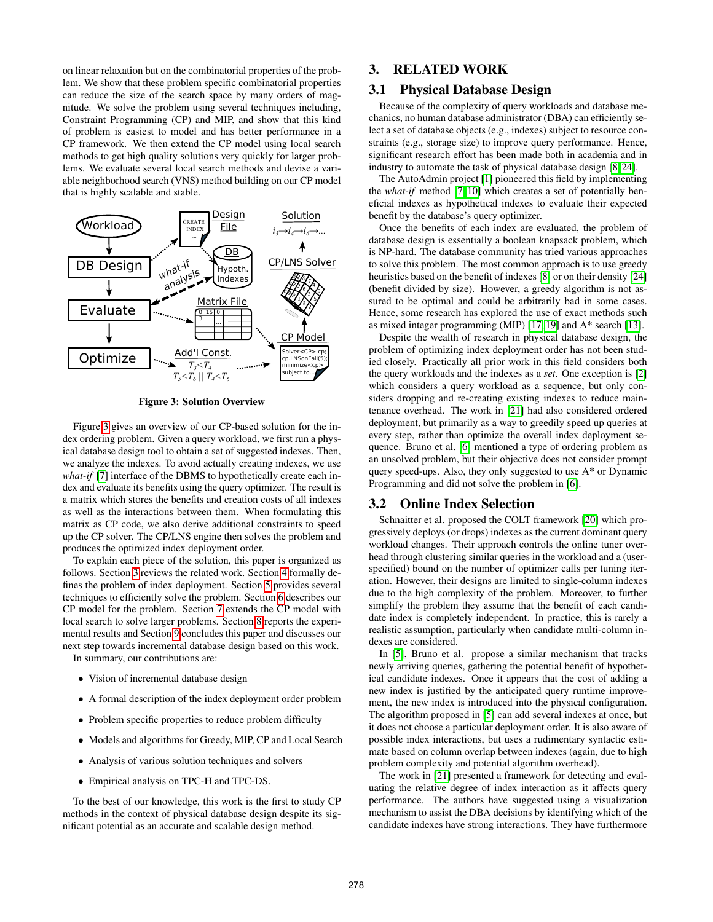on linear relaxation but on the combinatorial properties of the problem. We show that these problem specific combinatorial properties can reduce the size of the search space by many orders of magnitude. We solve the problem using several techniques including, Constraint Programming (CP) and MIP, and show that this kind of problem is easiest to model and has better performance in a CP framework. We then extend the CP model using local search methods to get high quality solutions very quickly for larger problems. We evaluate several local search methods and devise a variable neighborhood search (VNS) method building on our CP model that is highly scalable and stable.



<span id="page-2-0"></span>Figure 3: Solution Overview

Figure [3](#page-2-0) gives an overview of our CP-based solution for the index ordering problem. Given a query workload, we first run a physical database design tool to obtain a set of suggested indexes. Then, we analyze the indexes. To avoid actually creating indexes, we use *what-if* [\[7\]](#page-11-6) interface of the DBMS to hypothetically create each index and evaluate its benefits using the query optimizer. The result is a matrix which stores the benefits and creation costs of all indexes as well as the interactions between them. When formulating this matrix as CP code, we also derive additional constraints to speed up the CP solver. The CP/LNS engine then solves the problem and produces the optimized index deployment order.

To explain each piece of the solution, this paper is organized as follows. Section [3](#page-2-1) reviews the related work. Section [4](#page-3-0) formally defines the problem of index deployment. Section [5](#page-5-0) provides several techniques to efficiently solve the problem. Section [6](#page-7-0) describes our CP model for the problem. Section [7](#page-7-1) extends the CP model with local search to solve larger problems. Section [8](#page-8-0) reports the experimental results and Section [9](#page-11-7) concludes this paper and discusses our next step towards incremental database design based on this work. In summary, our contributions are:

- Vision of incremental database design
- A formal description of the index deployment order problem
- Problem specific properties to reduce problem difficulty
- Models and algorithms for Greedy, MIP, CP and Local Search
- Analysis of various solution techniques and solvers
- Empirical analysis on TPC-H and TPC-DS.

To the best of our knowledge, this work is the first to study CP methods in the context of physical database design despite its significant potential as an accurate and scalable design method.

# <span id="page-2-1"></span>3. RELATED WORK

### 3.1 Physical Database Design

Because of the complexity of query workloads and database mechanics, no human database administrator (DBA) can efficiently select a set of database objects (e.g., indexes) subject to resource constraints (e.g., storage size) to improve query performance. Hence, significant research effort has been made both in academia and in industry to automate the task of physical database design [\[8,](#page-11-8) [24\]](#page-11-1).

The AutoAdmin project [\[1\]](#page-11-0) pioneered this field by implementing the *what-if* method [\[7,](#page-11-6) [10\]](#page-11-9) which creates a set of potentially beneficial indexes as hypothetical indexes to evaluate their expected benefit by the database's query optimizer.

Once the benefits of each index are evaluated, the problem of database design is essentially a boolean knapsack problem, which is NP-hard. The database community has tried various approaches to solve this problem. The most common approach is to use greedy heuristics based on the benefit of indexes [\[8\]](#page-11-8) or on their density [\[24\]](#page-11-1) (benefit divided by size). However, a greedy algorithm is not assured to be optimal and could be arbitrarily bad in some cases. Hence, some research has explored the use of exact methods such as mixed integer programming (MIP) [\[17,](#page-11-10) [19\]](#page-11-11) and A\* search [\[13\]](#page-11-12).

Despite the wealth of research in physical database design, the problem of optimizing index deployment order has not been studied closely. Practically all prior work in this field considers both the query workloads and the indexes as a *set*. One exception is [\[2\]](#page-11-13) which considers a query workload as a sequence, but only considers dropping and re-creating existing indexes to reduce maintenance overhead. The work in [\[21\]](#page-11-14) had also considered ordered deployment, but primarily as a way to greedily speed up queries at every step, rather than optimize the overall index deployment sequence. Bruno et al. [\[6\]](#page-11-15) mentioned a type of ordering problem as an unsolved problem, but their objective does not consider prompt query speed-ups. Also, they only suggested to use A\* or Dynamic Programming and did not solve the problem in [\[6\]](#page-11-15).

#### 3.2 Online Index Selection

Schnaitter et al. proposed the COLT framework [\[20\]](#page-11-4) which progressively deploys (or drops) indexes as the current dominant query workload changes. Their approach controls the online tuner overhead through clustering similar queries in the workload and a (userspecified) bound on the number of optimizer calls per tuning iteration. However, their designs are limited to single-column indexes due to the high complexity of the problem. Moreover, to further simplify the problem they assume that the benefit of each candidate index is completely independent. In practice, this is rarely a realistic assumption, particularly when candidate multi-column indexes are considered.

In [\[5\]](#page-11-3), Bruno et al. propose a similar mechanism that tracks newly arriving queries, gathering the potential benefit of hypothetical candidate indexes. Once it appears that the cost of adding a new index is justified by the anticipated query runtime improvement, the new index is introduced into the physical configuration. The algorithm proposed in [\[5\]](#page-11-3) can add several indexes at once, but it does not choose a particular deployment order. It is also aware of possible index interactions, but uses a rudimentary syntactic estimate based on column overlap between indexes (again, due to high problem complexity and potential algorithm overhead).

The work in [\[21\]](#page-11-14) presented a framework for detecting and evaluating the relative degree of index interaction as it affects query performance. The authors have suggested using a visualization mechanism to assist the DBA decisions by identifying which of the candidate indexes have strong interactions. They have furthermore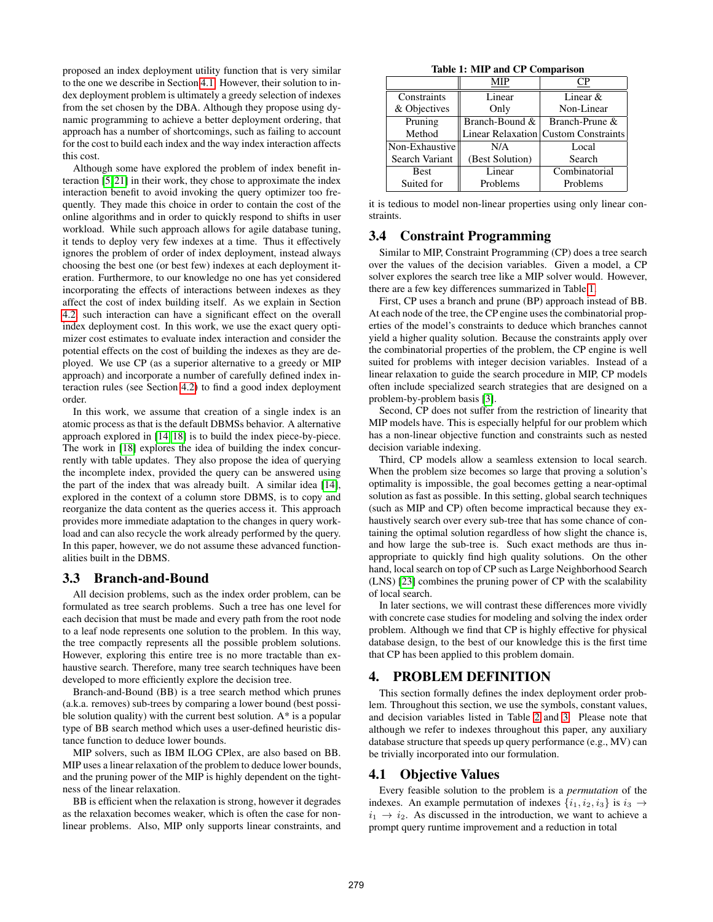proposed an index deployment utility function that is very similar to the one we describe in Section [4.1.](#page-3-1) However, their solution to index deployment problem is ultimately a greedy selection of indexes from the set chosen by the DBA. Although they propose using dynamic programming to achieve a better deployment ordering, that approach has a number of shortcomings, such as failing to account for the cost to build each index and the way index interaction affects this cost.

Although some have explored the problem of index benefit interaction [\[5,](#page-11-3) [21\]](#page-11-14) in their work, they chose to approximate the index interaction benefit to avoid invoking the query optimizer too frequently. They made this choice in order to contain the cost of the online algorithms and in order to quickly respond to shifts in user workload. While such approach allows for agile database tuning, it tends to deploy very few indexes at a time. Thus it effectively ignores the problem of order of index deployment, instead always choosing the best one (or best few) indexes at each deployment iteration. Furthermore, to our knowledge no one has yet considered incorporating the effects of interactions between indexes as they affect the cost of index building itself. As we explain in Section [4.2,](#page-4-0) such interaction can have a significant effect on the overall index deployment cost. In this work, we use the exact query optimizer cost estimates to evaluate index interaction and consider the potential effects on the cost of building the indexes as they are deployed. We use CP (as a superior alternative to a greedy or MIP approach) and incorporate a number of carefully defined index interaction rules (see Section [4.2\)](#page-4-0) to find a good index deployment order.

In this work, we assume that creation of a single index is an atomic process as that is the default DBMSs behavior. A alternative approach explored in [\[14,](#page-11-16) [18\]](#page-11-17) is to build the index piece-by-piece. The work in [\[18\]](#page-11-17) explores the idea of building the index concurrently with table updates. They also propose the idea of querying the incomplete index, provided the query can be answered using the part of the index that was already built. A similar idea [\[14\]](#page-11-16), explored in the context of a column store DBMS, is to copy and reorganize the data content as the queries access it. This approach provides more immediate adaptation to the changes in query workload and can also recycle the work already performed by the query. In this paper, however, we do not assume these advanced functionalities built in the DBMS.

#### 3.3 Branch-and-Bound

All decision problems, such as the index order problem, can be formulated as tree search problems. Such a tree has one level for each decision that must be made and every path from the root node to a leaf node represents one solution to the problem. In this way, the tree compactly represents all the possible problem solutions. However, exploring this entire tree is no more tractable than exhaustive search. Therefore, many tree search techniques have been developed to more efficiently explore the decision tree.

Branch-and-Bound (BB) is a tree search method which prunes (a.k.a. removes) sub-trees by comparing a lower bound (best possible solution quality) with the current best solution.  $A^*$  is a popular type of BB search method which uses a user-defined heuristic distance function to deduce lower bounds.

MIP solvers, such as IBM ILOG CPlex, are also based on BB. MIP uses a linear relaxation of the problem to deduce lower bounds, and the pruning power of the MIP is highly dependent on the tightness of the linear relaxation.

BB is efficient when the relaxation is strong, however it degrades as the relaxation becomes weaker, which is often the case for nonlinear problems. Also, MIP only supports linear constraints, and

<span id="page-3-2"></span>Table 1: MIP and CP Comparison

|                | MIP             | СP                                   |
|----------------|-----------------|--------------------------------------|
| Constraints    | Linear          | Linear $\&$                          |
| & Objectives   | Only            | Non-Linear                           |
| Pruning        | Branch-Bound &  | Branch-Prune $\&$                    |
| Method         |                 | Linear Relaxation Custom Constraints |
| Non-Exhaustive | N/A             | Local                                |
| Search Variant | (Best Solution) | Search                               |
| <b>Best</b>    | Linear          | Combinatorial                        |
| Suited for     | Problems        | Problems                             |

it is tedious to model non-linear properties using only linear constraints.

# <span id="page-3-3"></span>3.4 Constraint Programming

Similar to MIP, Constraint Programming (CP) does a tree search over the values of the decision variables. Given a model, a CP solver explores the search tree like a MIP solver would. However, there are a few key differences summarized in Table [1.](#page-3-2)

First, CP uses a branch and prune (BP) approach instead of BB. At each node of the tree, the CP engine uses the combinatorial properties of the model's constraints to deduce which branches cannot yield a higher quality solution. Because the constraints apply over the combinatorial properties of the problem, the CP engine is well suited for problems with integer decision variables. Instead of a linear relaxation to guide the search procedure in MIP, CP models often include specialized search strategies that are designed on a problem-by-problem basis [\[3\]](#page-11-5).

Second, CP does not suffer from the restriction of linearity that MIP models have. This is especially helpful for our problem which has a non-linear objective function and constraints such as nested decision variable indexing.

Third, CP models allow a seamless extension to local search. When the problem size becomes so large that proving a solution's optimality is impossible, the goal becomes getting a near-optimal solution as fast as possible. In this setting, global search techniques (such as MIP and CP) often become impractical because they exhaustively search over every sub-tree that has some chance of containing the optimal solution regardless of how slight the chance is, and how large the sub-tree is. Such exact methods are thus inappropriate to quickly find high quality solutions. On the other hand, local search on top of CP such as Large Neighborhood Search (LNS) [\[23\]](#page-11-18) combines the pruning power of CP with the scalability of local search.

In later sections, we will contrast these differences more vividly with concrete case studies for modeling and solving the index order problem. Although we find that CP is highly effective for physical database design, to the best of our knowledge this is the first time that CP has been applied to this problem domain.

### <span id="page-3-0"></span>4. PROBLEM DEFINITION

This section formally defines the index deployment order problem. Throughout this section, we use the symbols, constant values, and decision variables listed in Table [2](#page-4-1) and [3.](#page-4-2) Please note that although we refer to indexes throughout this paper, any auxiliary database structure that speeds up query performance (e.g., MV) can be trivially incorporated into our formulation.

# <span id="page-3-1"></span>4.1 Objective Values

Every feasible solution to the problem is a *permutation* of the indexes. An example permutation of indexes  $\{i_1, i_2, i_3\}$  is  $i_3 \rightarrow$  $i_1 \rightarrow i_2$ . As discussed in the introduction, we want to achieve a prompt query runtime improvement and a reduction in total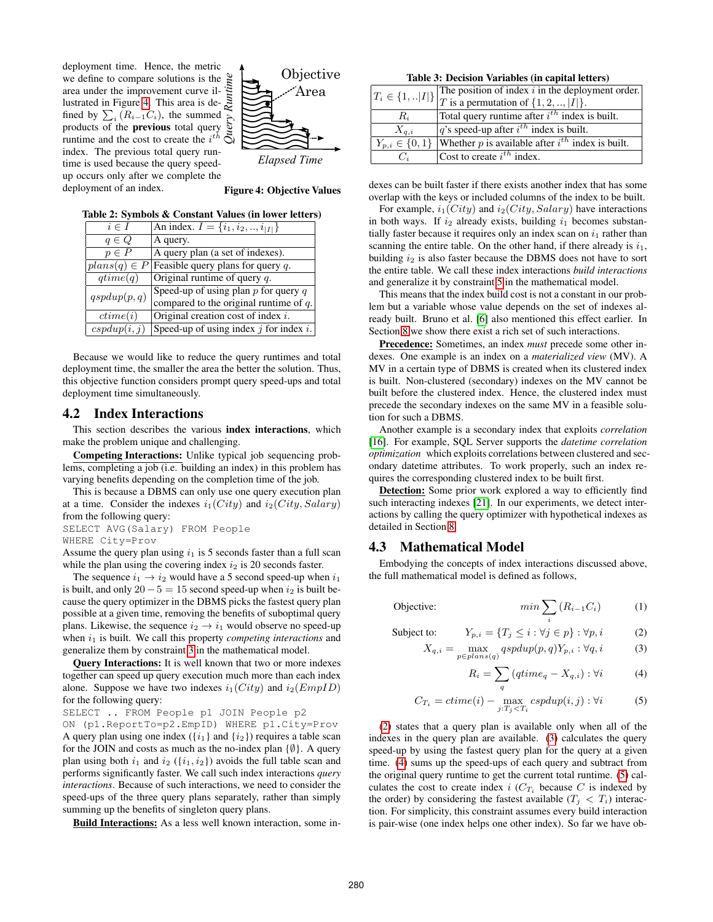deployment time. Hence, the metric *Query Runtime* we define to compare solutions is the area under the improvement curve illustrated in Figure [4.](#page-4-3) This area is de- $\tilde{\kappa}$ fined by  $\sum_i (R_{i-1}C_i)$ , the summed products of the previous total query runtime and the cost to create the  $i^{th}$ index. The previous total query runtime is used because the query speedup occurs only after we complete the deployment of an index.



<span id="page-4-3"></span>Figure 4: Objective Values

Table 2: Symbols & Constant Values (in lower letters)

<span id="page-4-1"></span>

| $i \in I$            | An index. $I = \{i_1, i_2, , i_{ I }\}\$    |  |  |  |  |  |
|----------------------|---------------------------------------------|--|--|--|--|--|
| $q \in Q$            | A query.                                    |  |  |  |  |  |
| $\overline{p \in P}$ | A query plan (a set of indexes).            |  |  |  |  |  |
| $plans(q) \in P$     | Feasible query plans for query $q$ .        |  |  |  |  |  |
| qtime(q)             | Original runtime of query $q$ .             |  |  |  |  |  |
| qspdup(p, q)         | Speed-up of using plan $p$ for query $q$    |  |  |  |  |  |
|                      | compared to the original runtime of $q$ .   |  |  |  |  |  |
| ctime(i)             | Original creation cost of index $i$ .       |  |  |  |  |  |
| cspdup(i, j)         | Speed-up of using index $j$ for index $i$ . |  |  |  |  |  |

Because we would like to reduce the query runtimes and total deployment time, the smaller the area the better the solution. Thus, this objective function considers prompt query speed-ups and total deployment time simultaneously.

# <span id="page-4-0"></span>4.2 Index Interactions

This section describes the various index interactions, which make the problem unique and challenging.

Competing Interactions: Unlike typical job sequencing problems, completing a job (i.e. building an index) in this problem has varying benefits depending on the completion time of the job.

This is because a DBMS can only use one query execution plan at a time. Consider the indexes  $i_1(City)$  and  $i_2(City, Salary)$ from the following query:

SELECT AVG(Salary) FROM People

WHERE City=Prov

Assume the query plan using  $i_1$  is 5 seconds faster than a full scan while the plan using the covering index  $i_2$  is 20 seconds faster.

The sequence  $i_1 \rightarrow i_2$  would have a 5 second speed-up when  $i_1$ is built, and only 20 − 5 = 15 second speed-up when  $i_2$  is built because the query optimizer in the DBMS picks the fastest query plan possible at a given time, removing the benefits of suboptimal query plans. Likewise, the sequence  $i_2 \rightarrow i_1$  would observe no speed-up when  $i_1$  is built. We call this property *competing interactions* and generalize them by constraint [3](#page-4-4) in the mathematical model.

Query Interactions: It is well known that two or more indexes together can speed up query execution much more than each index alone. Suppose we have two indexes  $i_1(City)$  and  $i_2(EmpID)$ for the following query:

SELECT .. FROM People p1 JOIN People p2

ON (p1.ReportTo=p2.EmpID) WHERE p1.City=Prov A query plan using one index ( $\{i_1\}$  and  $\{i_2\}$ ) requires a table scan for the JOIN and costs as much as the no-index plan  $\{\emptyset\}$ . A query plan using both  $i_1$  and  $i_2$  ({ $i_1, i_2$ }) avoids the full table scan and performs significantly faster. We call such index interactions *query interactions*. Because of such interactions, we need to consider the speed-ups of the three query plans separately, rather than simply summing up the benefits of singleton query plans.

Build Interactions: As a less well known interaction, some in-

<span id="page-4-2"></span>Table 3: Decision Variables (in capital letters)

|                       | The position of index $i$ in the deployment order.                                                              |
|-----------------------|-----------------------------------------------------------------------------------------------------------------|
|                       | $T_i \in \{1,  I \}\n\left \n\begin{array}{c}\n\text{The position of } \{1, 2, ,  I \}.\n\end{array}\n\right\ $ |
| $R_i$                 | Total query runtime after $i^{th}$ index is built.                                                              |
| $X_{a,i}$             | $ q$ 's speed-up after i <sup>th</sup> index is built.                                                          |
| $Y_{p,i} \in \{0,1\}$ | Whether p is available after $i^{th}$ index is built.                                                           |
| $C_i$                 | Cost to create $i^{th}$ index.                                                                                  |

dexes can be built faster if there exists another index that has some overlap with the keys or included columns of the index to be built.

For example,  $i_1(City)$  and  $i_2(City, Salary)$  have interactions in both ways. If  $i_2$  already exists, building  $i_1$  becomes substantially faster because it requires only an index scan on  $i_1$  rather than scanning the entire table. On the other hand, if there already is  $i_1$ , building  $i_2$  is also faster because the DBMS does not have to sort the entire table. We call these index interactions *build interactions* and generalize it by constraint [5](#page-4-4) in the mathematical model.

This means that the index build cost is not a constant in our problem but a variable whose value depends on the set of indexes already built. Bruno et al. [\[6\]](#page-11-15) also mentioned this effect earlier. In Section [8](#page-8-0) we show there exist a rich set of such interactions.

Precedence: Sometimes, an index *must* precede some other indexes. One example is an index on a *materialized view* (MV). A MV in a certain type of DBMS is created when its clustered index is built. Non-clustered (secondary) indexes on the MV cannot be built before the clustered index. Hence, the clustered index must precede the secondary indexes on the same MV in a feasible solution for such a DBMS.

Another example is a secondary index that exploits *correlation* [\[16\]](#page-11-19). For example, SQL Server supports the *datetime correlation optimization* which exploits correlations between clustered and secondary datetime attributes. To work properly, such an index requires the corresponding clustered index to be built first.

Detection: Some prior work explored a way to efficiently find such interacting indexes [\[21\]](#page-11-14). In our experiments, we detect interactions by calling the query optimizer with hypothetical indexes as detailed in Section [8.](#page-8-0)

### <span id="page-4-5"></span>4.3 Mathematical Model

Embodying the concepts of index interactions discussed above, the full mathematical model is defined as follows,

<span id="page-4-4"></span>
$$
\text{Objective:} \qquad \qquad \min \sum_{i} \left( R_{i-1} C_i \right) \tag{1}
$$

Subject to: 
$$
Y_{p,i} = \{T_j \leq i : \forall j \in p\} : \forall p, i
$$
 (2)

$$
X_{q,i} = \max_{p \in plans(q)} qspdup(p,q)Y_{p,i} : \forall q, i \tag{3}
$$

$$
R_i = \sum_{q} (qtime_q - X_{q,i}) : \forall i \tag{4}
$$

$$
C_{T_i} = ctime(i) - \max_{j:T_j < T_i} cspdup(i, j) : \forall i \tag{5}
$$

[\(2\)](#page-4-4) states that a query plan is available only when all of the indexes in the query plan are available. [\(3\)](#page-4-4) calculates the query speed-up by using the fastest query plan for the query at a given time. [\(4\)](#page-4-4) sums up the speed-ups of each query and subtract from the original query runtime to get the current total runtime. [\(5\)](#page-4-4) calculates the cost to create index i  $(C_{T_i})$  because C is indexed by the order) by considering the fastest available  $(T_j < T_i)$  interaction. For simplicity, this constraint assumes every build interaction is pair-wise (one index helps one other index). So far we have ob-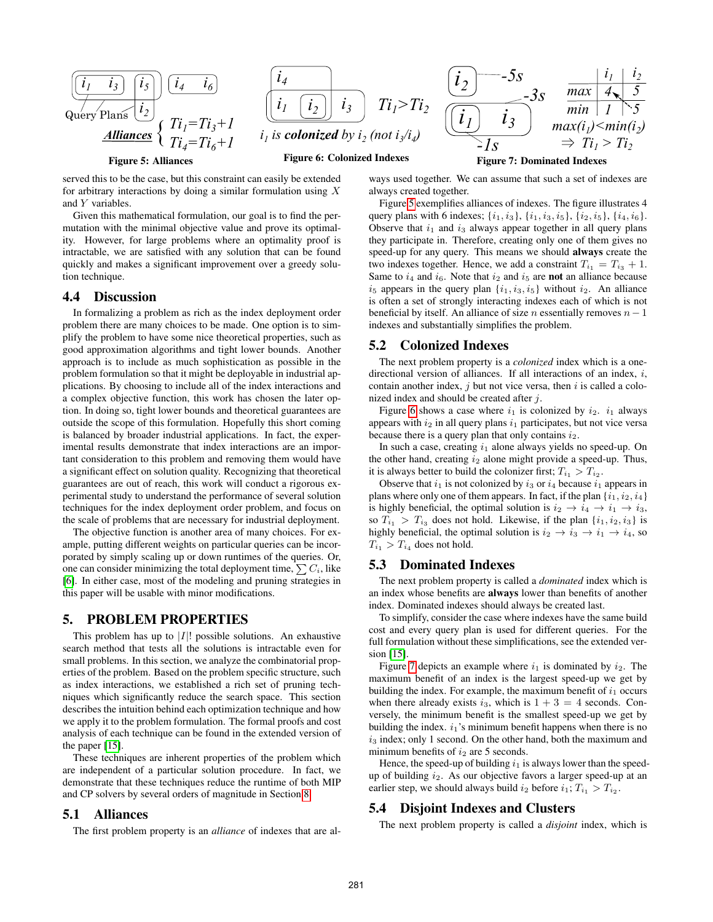

<span id="page-5-1"></span>served this to be the case, but this constraint can easily be extended for arbitrary interactions by doing a similar formulation using  $X$ and Y variables.

Given this mathematical formulation, our goal is to find the permutation with the minimal objective value and prove its optimality. However, for large problems where an optimality proof is intractable, we are satisfied with any solution that can be found quickly and makes a significant improvement over a greedy solution technique.

#### 4.4 Discussion

In formalizing a problem as rich as the index deployment order problem there are many choices to be made. One option is to simplify the problem to have some nice theoretical properties, such as good approximation algorithms and tight lower bounds. Another approach is to include as much sophistication as possible in the problem formulation so that it might be deployable in industrial applications. By choosing to include all of the index interactions and a complex objective function, this work has chosen the later option. In doing so, tight lower bounds and theoretical guarantees are outside the scope of this formulation. Hopefully this short coming is balanced by broader industrial applications. In fact, the experimental results demonstrate that index interactions are an important consideration to this problem and removing them would have a significant effect on solution quality. Recognizing that theoretical guarantees are out of reach, this work will conduct a rigorous experimental study to understand the performance of several solution techniques for the index deployment order problem, and focus on the scale of problems that are necessary for industrial deployment.

The objective function is another area of many choices. For example, putting different weights on particular queries can be incorporated by simply scaling up or down runtimes of the queries. Or, one can consider minimizing the total deployment time,  $\sum C_i$ , like [\[6\]](#page-11-15). In either case, most of the modeling and pruning strategies in this paper will be usable with minor modifications.

### <span id="page-5-0"></span>5. PROBLEM PROPERTIES

This problem has up to |I|! possible solutions. An exhaustive search method that tests all the solutions is intractable even for small problems. In this section, we analyze the combinatorial properties of the problem. Based on the problem specific structure, such as index interactions, we established a rich set of pruning techniques which significantly reduce the search space. This section describes the intuition behind each optimization technique and how we apply it to the problem formulation. The formal proofs and cost analysis of each technique can be found in the extended version of the paper [\[15\]](#page-11-20).

These techniques are inherent properties of the problem which are independent of a particular solution procedure. In fact, we demonstrate that these techniques reduce the runtime of both MIP and CP solvers by several orders of magnitude in Section [8.](#page-8-0)

#### 5.1 Alliances

The first problem property is an *alliance* of indexes that are al-

<span id="page-5-3"></span><span id="page-5-2"></span>ways used together. We can assume that such a set of indexes are always created together.

Figure [5](#page-5-1) exemplifies alliances of indexes. The figure illustrates 4 query plans with 6 indexes;  $\{i_1, i_3\}$ ,  $\{i_1, i_3, i_5\}$ ,  $\{i_2, i_5\}$ ,  $\{i_4, i_6\}$ . Observe that  $i_1$  and  $i_3$  always appear together in all query plans they participate in. Therefore, creating only one of them gives no speed-up for any query. This means we should always create the two indexes together. Hence, we add a constraint  $T_{i_1} = T_{i_3} + 1$ . Same to  $i_4$  and  $i_6$ . Note that  $i_2$  and  $i_5$  are **not** an alliance because  $i_5$  appears in the query plan  $\{i_1, i_3, i_5\}$  without  $i_2$ . An alliance is often a set of strongly interacting indexes each of which is not beneficial by itself. An alliance of size *n* essentially removes  $n-1$ indexes and substantially simplifies the problem.

#### 5.2 Colonized Indexes

The next problem property is a *colonized* index which is a onedirectional version of alliances. If all interactions of an index, i, contain another index,  $j$  but not vice versa, then  $i$  is called a colonized index and should be created after  $i$ .

Figure [6](#page-5-2) shows a case where  $i_1$  is colonized by  $i_2$ .  $i_1$  always appears with  $i_2$  in all query plans  $i_1$  participates, but not vice versa because there is a query plan that only contains  $i_2$ .

In such a case, creating  $i_1$  alone always yields no speed-up. On the other hand, creating  $i_2$  alone might provide a speed-up. Thus, it is always better to build the colonizer first;  $T_{i_1} > T_{i_2}$ .

Observe that  $i_1$  is not colonized by  $i_3$  or  $i_4$  because  $i_1$  appears in plans where only one of them appears. In fact, if the plan  $\{i_1, i_2, i_4\}$ is highly beneficial, the optimal solution is  $i_2 \rightarrow i_4 \rightarrow i_1 \rightarrow i_3$ , so  $T_{i_1} > T_{i_3}$  does not hold. Likewise, if the plan  $\{i_1, i_2, i_3\}$  is highly beneficial, the optimal solution is  $i_2 \rightarrow i_3 \rightarrow i_1 \rightarrow i_4$ , so  $T_{i_1} > T_{i_4}$  does not hold.

#### 5.3 Dominated Indexes

The next problem property is called a *dominated* index which is an index whose benefits are always lower than benefits of another index. Dominated indexes should always be created last.

To simplify, consider the case where indexes have the same build cost and every query plan is used for different queries. For the full formulation without these simplifications, see the extended version [\[15\]](#page-11-20).

Figure [7](#page-5-3) depicts an example where  $i_1$  is dominated by  $i_2$ . The maximum benefit of an index is the largest speed-up we get by building the index. For example, the maximum benefit of  $i_1$  occurs when there already exists  $i_3$ , which is  $1 + 3 = 4$  seconds. Conversely, the minimum benefit is the smallest speed-up we get by building the index.  $i_1$ 's minimum benefit happens when there is no  $i_3$  index; only 1 second. On the other hand, both the maximum and minimum benefits of  $i_2$  are 5 seconds.

Hence, the speed-up of building  $i_1$  is always lower than the speedup of building  $i_2$ . As our objective favors a larger speed-up at an earlier step, we should always build  $i_2$  before  $i_1$ ;  $T_{i_1} > T_{i_2}$ .

### 5.4 Disjoint Indexes and Clusters

The next problem property is called a *disjoint* index, which is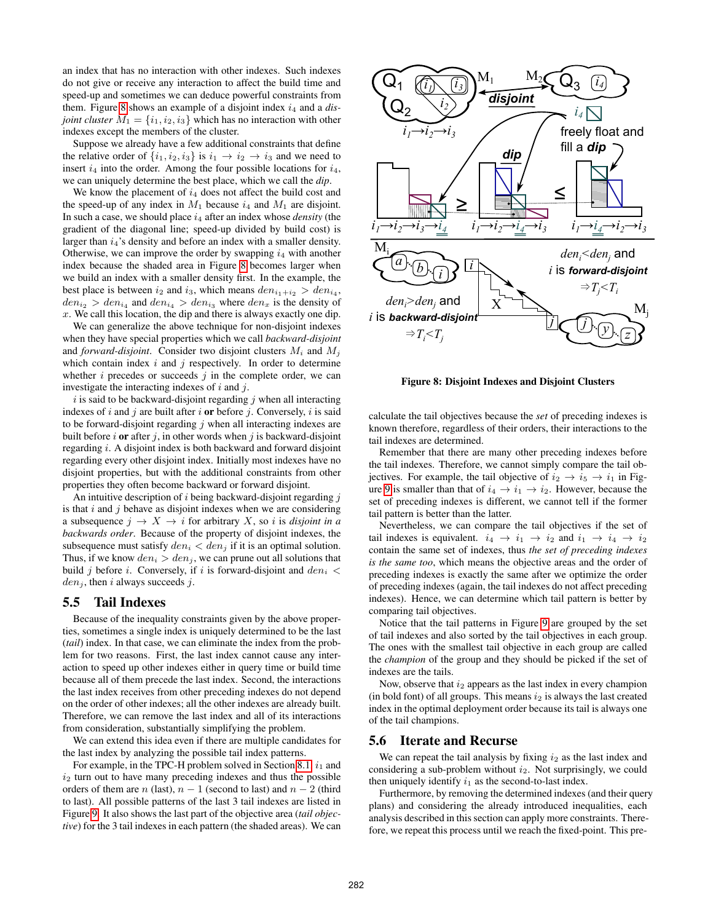an index that has no interaction with other indexes. Such indexes do not give or receive any interaction to affect the build time and speed-up and sometimes we can deduce powerful constraints from them. Figure [8](#page-6-0) shows an example of a disjoint index i<sup>4</sup> and a *disjoint cluster*  $M_1 = \{i_1, i_2, i_3\}$  which has no interaction with other indexes except the members of the cluster.

Suppose we already have a few additional constraints that define the relative order of  $\{i_1, i_2, i_3\}$  is  $i_1 \rightarrow i_2 \rightarrow i_3$  and we need to insert  $i_4$  into the order. Among the four possible locations for  $i_4$ , we can uniquely determine the best place, which we call the *dip*.

We know the placement of  $i_4$  does not affect the build cost and the speed-up of any index in  $M_1$  because  $i_4$  and  $M_1$  are disjoint. In such a case, we should place i<sup>4</sup> after an index whose *density* (the gradient of the diagonal line; speed-up divided by build cost) is larger than  $i_4$ 's density and before an index with a smaller density. Otherwise, we can improve the order by swapping  $i_4$  with another index because the shaded area in Figure [8](#page-6-0) becomes larger when we build an index with a smaller density first. In the example, the best place is between  $i_2$  and  $i_3$ , which means  $den_{i_1+i_2} > den_{i_4}$ ,  $den_{i_2} > den_{i_4}$  and  $den_{i_4} > den_{i_3}$  where  $den_x$  is the density of  $x$ . We call this location, the dip and there is always exactly one dip.

We can generalize the above technique for non-disjoint indexes when they have special properties which we call *backward-disjoint* and *forward-disjoint*. Consider two disjoint clusters  $M_i$  and  $M_j$ which contain index  $i$  and  $j$  respectively. In order to determine whether  $i$  precedes or succeeds  $j$  in the complete order, we can investigate the interacting indexes of  $i$  and  $j$ .

 $i$  is said to be backward-disjoint regarding  $j$  when all interacting indexes of  $i$  and  $j$  are built after  $i$  or before  $j$ . Conversely,  $i$  is said to be forward-disjoint regarding  $j$  when all interacting indexes are built before i or after j, in other words when j is backward-disjoint regarding i. A disjoint index is both backward and forward disjoint regarding every other disjoint index. Initially most indexes have no disjoint properties, but with the additional constraints from other properties they often become backward or forward disjoint.

An intuitive description of  $i$  being backward-disjoint regarding  $j$ is that  $i$  and  $j$  behave as disjoint indexes when we are considering a subsequence  $j \to X \to i$  for arbitrary X, so i is *disjoint in a backwards order*. Because of the property of disjoint indexes, the subsequence must satisfy  $den_i < den_j$  if it is an optimal solution. Thus, if we know  $den_i > den_j$ , we can prune out all solutions that build j before i. Conversely, if i is forward-disjoint and  $den_i <$  $den_j$ , then i always succeeds j.

### 5.5 Tail Indexes

Because of the inequality constraints given by the above properties, sometimes a single index is uniquely determined to be the last (*tail*) index. In that case, we can eliminate the index from the problem for two reasons. First, the last index cannot cause any interaction to speed up other indexes either in query time or build time because all of them precede the last index. Second, the interactions the last index receives from other preceding indexes do not depend on the order of other indexes; all the other indexes are already built. Therefore, we can remove the last index and all of its interactions from consideration, substantially simplifying the problem.

We can extend this idea even if there are multiple candidates for the last index by analyzing the possible tail index patterns.

For example, in the TPC-H problem solved in Section [8.1,](#page-9-0)  $i_1$  and  $i_2$  turn out to have many preceding indexes and thus the possible orders of them are n (last),  $n - 1$  (second to last) and  $n - 2$  (third to last). All possible patterns of the last 3 tail indexes are listed in Figure [9.](#page-7-2) It also shows the last part of the objective area (*tail objective*) for the 3 tail indexes in each pattern (the shaded areas). We can



<span id="page-6-0"></span>Figure 8: Disjoint Indexes and Disjoint Clusters

calculate the tail objectives because the *set* of preceding indexes is known therefore, regardless of their orders, their interactions to the tail indexes are determined.

Remember that there are many other preceding indexes before the tail indexes. Therefore, we cannot simply compare the tail objectives. For example, the tail objective of  $i_2 \rightarrow i_5 \rightarrow i_1$  in Fig-ure [9](#page-7-2) is smaller than that of  $i_4 \rightarrow i_1 \rightarrow i_2$ . However, because the set of preceding indexes is different, we cannot tell if the former tail pattern is better than the latter.

Nevertheless, we can compare the tail objectives if the set of tail indexes is equivalent.  $i_4 \rightarrow i_1 \rightarrow i_2$  and  $i_1 \rightarrow i_4 \rightarrow i_2$ contain the same set of indexes, thus *the set of preceding indexes is the same too*, which means the objective areas and the order of preceding indexes is exactly the same after we optimize the order of preceding indexes (again, the tail indexes do not affect preceding indexes). Hence, we can determine which tail pattern is better by comparing tail objectives.

Notice that the tail patterns in Figure [9](#page-7-2) are grouped by the set of tail indexes and also sorted by the tail objectives in each group. The ones with the smallest tail objective in each group are called the *champion* of the group and they should be picked if the set of indexes are the tails.

Now, observe that  $i_2$  appears as the last index in every champion (in bold font) of all groups. This means  $i_2$  is always the last created index in the optimal deployment order because its tail is always one of the tail champions.

### 5.6 Iterate and Recurse

We can repeat the tail analysis by fixing  $i_2$  as the last index and considering a sub-problem without  $i_2$ . Not surprisingly, we could then uniquely identify  $i_1$  as the second-to-last index.

Furthermore, by removing the determined indexes (and their query plans) and considering the already introduced inequalities, each analysis described in this section can apply more constraints. Therefore, we repeat this process until we reach the fixed-point. This pre-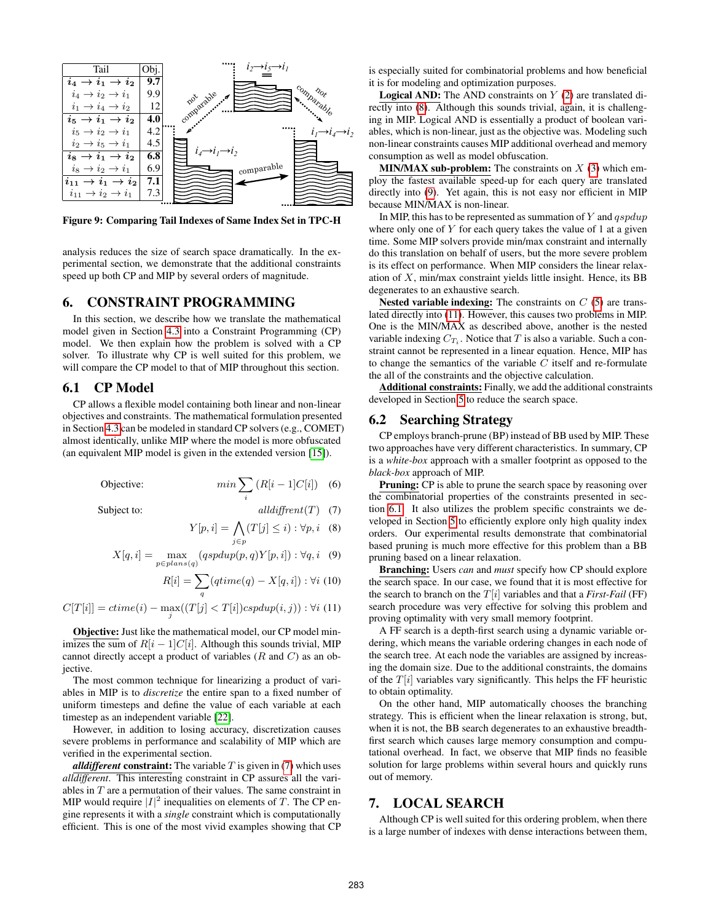

<span id="page-7-2"></span>Figure 9: Comparing Tail Indexes of Same Index Set in TPC-H

analysis reduces the size of search space dramatically. In the experimental section, we demonstrate that the additional constraints speed up both CP and MIP by several orders of magnitude.

### <span id="page-7-0"></span>6. CONSTRAINT PROGRAMMING

In this section, we describe how we translate the mathematical model given in Section [4.3](#page-4-5) into a Constraint Programming (CP) model. We then explain how the problem is solved with a CP solver. To illustrate why CP is well suited for this problem, we will compare the CP model to that of MIP throughout this section.

#### <span id="page-7-4"></span>6.1 CP Model

CP allows a flexible model containing both linear and non-linear objectives and constraints. The mathematical formulation presented in Section [4.3](#page-4-5) can be modeled in standard CP solvers (e.g., COMET) almost identically, unlike MIP where the model is more obfuscated (an equivalent MIP model is given in the extended version [\[15\]](#page-11-20)).

<span id="page-7-3"></span>

| Objective: | $min \sum (R[i-1]C[i])$ (6) |  |
|------------|-----------------------------|--|
|            |                             |  |

$$
Y[p, i] = \bigwedge_{j \in p} (T[j] \le i) : \forall p, i \quad (8)
$$

 $all different(T)$  (7)

$$
X[q, i] = \max_{p \in plans(q)} (qspdup(p, q)Y[p, i]) : \forall q, i \quad (9)
$$

$$
R[i] = \sum_{q} (qtime(q) - X[q, i]) : \forall i \ (10)
$$

$$
C[T[i]] = ctime(i) - \max_{j}((T[j] < T[i])cspdup(i, j)) : \forall i \ (11)
$$

Objective: Just like the mathematical model, our CP model minimizes the sum of  $R[i - 1]C[i]$ . Although this sounds trivial, MIP cannot directly accept a product of variables  $(R \text{ and } C)$  as an objective.

The most common technique for linearizing a product of variables in MIP is to *discretize* the entire span to a fixed number of uniform timesteps and define the value of each variable at each timestep as an independent variable [\[22\]](#page-11-21).

However, in addition to losing accuracy, discretization causes severe problems in performance and scalability of MIP which are verified in the experimental section.

*alldifferent* constraint: The variable  $T$  is given in  $(7)$  which uses *alldifferent*. This interesting constraint in CP assures all the variables in  $T$  are a permutation of their values. The same constraint in MIP would require  $|I|^2$  inequalities on elements of T. The CP engine represents it with a *single* constraint which is computationally efficient. This is one of the most vivid examples showing that CP is especially suited for combinatorial problems and how beneficial it is for modeling and optimization purposes.

**Logical AND:** The AND constraints on  $Y(2)$  $Y(2)$  are translated di-rectly into [\(8\)](#page-7-3). Although this sounds trivial, again, it is challenging in MIP. Logical AND is essentially a product of boolean variables, which is non-linear, just as the objective was. Modeling such non-linear constraints causes MIP additional overhead and memory consumption as well as model obfuscation.

**MIN/MAX sub-problem:** The constraints on  $X$  [\(3\)](#page-4-4) which employ the fastest available speed-up for each query are translated directly into [\(9\)](#page-7-3). Yet again, this is not easy nor efficient in MIP because MIN/MAX is non-linear.

In MIP, this has to be represented as summation of  $Y$  and  $qspdup$ where only one of  $Y$  for each query takes the value of 1 at a given time. Some MIP solvers provide min/max constraint and internally do this translation on behalf of users, but the more severe problem is its effect on performance. When MIP considers the linear relaxation of  $X$ , min/max constraint yields little insight. Hence, its BB degenerates to an exhaustive search.

Nested variable indexing: The constraints on  $C(5)$  $C(5)$  are translated directly into [\(11\)](#page-7-3). However, this causes two problems in MIP. One is the MIN/MAX as described above, another is the nested variable indexing  $C_{T_i}$ . Notice that T is also a variable. Such a constraint cannot be represented in a linear equation. Hence, MIP has to change the semantics of the variable  $C$  itself and re-formulate the all of the constraints and the objective calculation.

Additional constraints: Finally, we add the additional constraints developed in Section [5](#page-5-0) to reduce the search space.

### 6.2 Searching Strategy

CP employs branch-prune (BP) instead of BB used by MIP. These two approaches have very different characteristics. In summary, CP is a *white-box* approach with a smaller footprint as opposed to the *black-box* approach of MIP.

Pruning: CP is able to prune the search space by reasoning over the combinatorial properties of the constraints presented in section [6.1.](#page-7-4) It also utilizes the problem specific constraints we developed in Section [5](#page-5-0) to efficiently explore only high quality index orders. Our experimental results demonstrate that combinatorial based pruning is much more effective for this problem than a BB pruning based on a linear relaxation.

Branching: Users *can* and *must* specify how CP should explore the search space. In our case, we found that it is most effective for the search to branch on the  $T[i]$  variables and that a *First-Fail* (FF) search procedure was very effective for solving this problem and proving optimality with very small memory footprint.

A FF search is a depth-first search using a dynamic variable ordering, which means the variable ordering changes in each node of the search tree. At each node the variables are assigned by increasing the domain size. Due to the additional constraints, the domains of the  $T[i]$  variables vary significantly. This helps the FF heuristic to obtain optimality.

On the other hand, MIP automatically chooses the branching strategy. This is efficient when the linear relaxation is strong, but, when it is not, the BB search degenerates to an exhaustive breadthfirst search which causes large memory consumption and computational overhead. In fact, we observe that MIP finds no feasible solution for large problems within several hours and quickly runs out of memory.

# <span id="page-7-1"></span>7. LOCAL SEARCH

Although CP is well suited for this ordering problem, when there is a large number of indexes with dense interactions between them,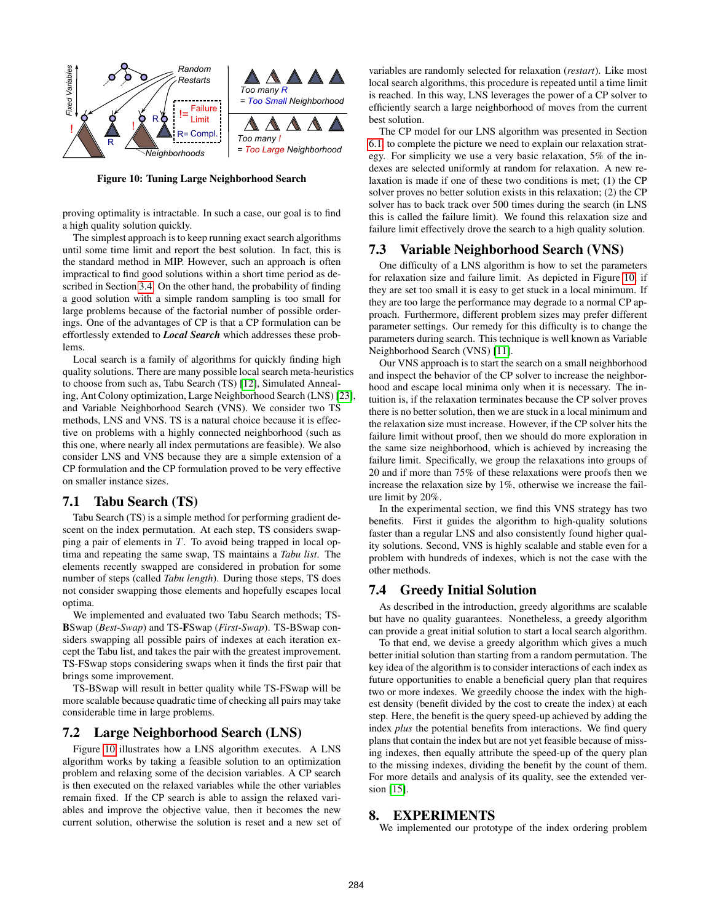

<span id="page-8-1"></span>Figure 10: Tuning Large Neighborhood Search

proving optimality is intractable. In such a case, our goal is to find a high quality solution quickly.

The simplest approach is to keep running exact search algorithms until some time limit and report the best solution. In fact, this is the standard method in MIP. However, such an approach is often impractical to find good solutions within a short time period as described in Section [3.4.](#page-3-3) On the other hand, the probability of finding a good solution with a simple random sampling is too small for large problems because of the factorial number of possible orderings. One of the advantages of CP is that a CP formulation can be effortlessly extended to *Local Search* which addresses these problems.

Local search is a family of algorithms for quickly finding high quality solutions. There are many possible local search meta-heuristics to choose from such as, Tabu Search (TS) [\[12\]](#page-11-22), Simulated Annealing, Ant Colony optimization, Large Neighborhood Search (LNS) [\[23\]](#page-11-18), and Variable Neighborhood Search (VNS). We consider two TS methods, LNS and VNS. TS is a natural choice because it is effective on problems with a highly connected neighborhood (such as this one, where nearly all index permutations are feasible). We also consider LNS and VNS because they are a simple extension of a CP formulation and the CP formulation proved to be very effective on smaller instance sizes.

# 7.1 Tabu Search (TS)

Tabu Search (TS) is a simple method for performing gradient descent on the index permutation. At each step, TS considers swapping a pair of elements in  $T$ . To avoid being trapped in local optima and repeating the same swap, TS maintains a *Tabu list*. The elements recently swapped are considered in probation for some number of steps (called *Tabu length*). During those steps, TS does not consider swapping those elements and hopefully escapes local optima.

We implemented and evaluated two Tabu Search methods; TS-BSwap (*Best-Swap*) and TS-FSwap (*First-Swap*). TS-BSwap considers swapping all possible pairs of indexes at each iteration except the Tabu list, and takes the pair with the greatest improvement. TS-FSwap stops considering swaps when it finds the first pair that brings some improvement.

TS-BSwap will result in better quality while TS-FSwap will be more scalable because quadratic time of checking all pairs may take considerable time in large problems.

### 7.2 Large Neighborhood Search (LNS)

Figure [10](#page-8-1) illustrates how a LNS algorithm executes. A LNS algorithm works by taking a feasible solution to an optimization problem and relaxing some of the decision variables. A CP search is then executed on the relaxed variables while the other variables remain fixed. If the CP search is able to assign the relaxed variables and improve the objective value, then it becomes the new current solution, otherwise the solution is reset and a new set of variables are randomly selected for relaxation (*restart*). Like most local search algorithms, this procedure is repeated until a time limit is reached. In this way, LNS leverages the power of a CP solver to efficiently search a large neighborhood of moves from the current best solution.

The CP model for our LNS algorithm was presented in Section [6.1,](#page-7-4) to complete the picture we need to explain our relaxation strategy. For simplicity we use a very basic relaxation, 5% of the indexes are selected uniformly at random for relaxation. A new relaxation is made if one of these two conditions is met; (1) the CP solver proves no better solution exists in this relaxation; (2) the CP solver has to back track over 500 times during the search (in LNS this is called the failure limit). We found this relaxation size and failure limit effectively drove the search to a high quality solution.

# 7.3 Variable Neighborhood Search (VNS)

One difficulty of a LNS algorithm is how to set the parameters for relaxation size and failure limit. As depicted in Figure [10,](#page-8-1) if they are set too small it is easy to get stuck in a local minimum. If they are too large the performance may degrade to a normal CP approach. Furthermore, different problem sizes may prefer different parameter settings. Our remedy for this difficulty is to change the parameters during search. This technique is well known as Variable Neighborhood Search (VNS) [\[11\]](#page-11-23).

Our VNS approach is to start the search on a small neighborhood and inspect the behavior of the CP solver to increase the neighborhood and escape local minima only when it is necessary. The intuition is, if the relaxation terminates because the CP solver proves there is no better solution, then we are stuck in a local minimum and the relaxation size must increase. However, if the CP solver hits the failure limit without proof, then we should do more exploration in the same size neighborhood, which is achieved by increasing the failure limit. Specifically, we group the relaxations into groups of 20 and if more than 75% of these relaxations were proofs then we increase the relaxation size by 1%, otherwise we increase the failure limit by 20%.

In the experimental section, we find this VNS strategy has two benefits. First it guides the algorithm to high-quality solutions faster than a regular LNS and also consistently found higher quality solutions. Second, VNS is highly scalable and stable even for a problem with hundreds of indexes, which is not the case with the other methods.

# <span id="page-8-2"></span>7.4 Greedy Initial Solution

As described in the introduction, greedy algorithms are scalable but have no quality guarantees. Nonetheless, a greedy algorithm can provide a great initial solution to start a local search algorithm.

To that end, we devise a greedy algorithm which gives a much better initial solution than starting from a random permutation. The key idea of the algorithm is to consider interactions of each index as future opportunities to enable a beneficial query plan that requires two or more indexes. We greedily choose the index with the highest density (benefit divided by the cost to create the index) at each step. Here, the benefit is the query speed-up achieved by adding the index *plus* the potential benefits from interactions. We find query plans that contain the index but are not yet feasible because of missing indexes, then equally attribute the speed-up of the query plan to the missing indexes, dividing the benefit by the count of them. For more details and analysis of its quality, see the extended version [\[15\]](#page-11-20).

### <span id="page-8-0"></span>8. EXPERIMENTS

We implemented our prototype of the index ordering problem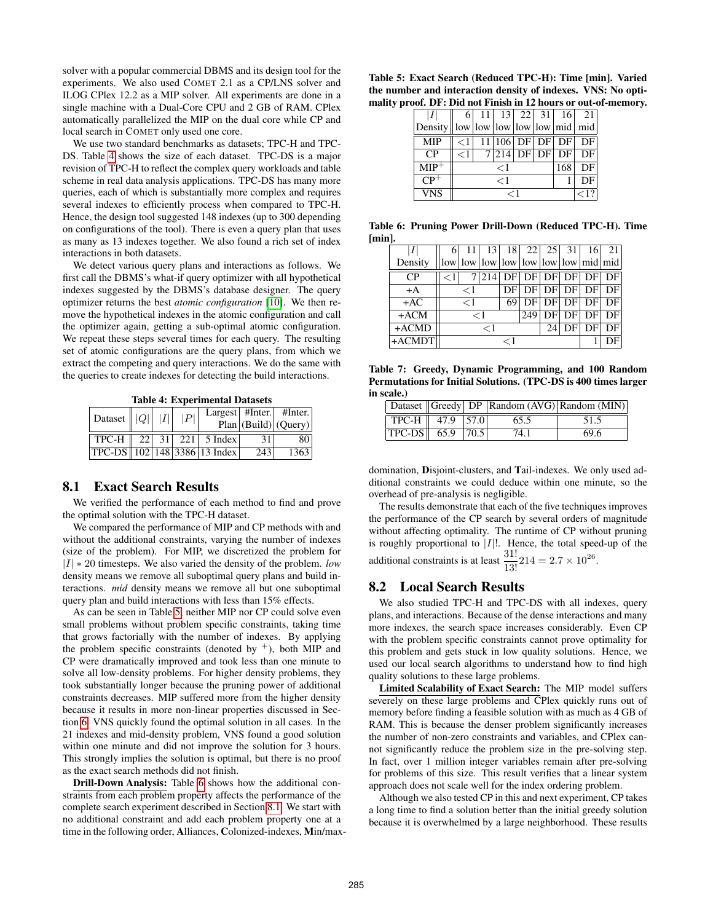solver with a popular commercial DBMS and its design tool for the experiments. We also used COMET 2.1 as a CP/LNS solver and ILOG CPlex 12.2 as a MIP solver. All experiments are done in a single machine with a Dual-Core CPU and 2 GB of RAM. CPlex automatically parallelized the MIP on the dual core while CP and local search in COMET only used one core.

We use two standard benchmarks as datasets; TPC-H and TPC-DS. Table [4](#page-9-1) shows the size of each dataset. TPC-DS is a major revision of TPC-H to reflect the complex query workloads and table scheme in real data analysis applications. TPC-DS has many more queries, each of which is substantially more complex and requires several indexes to efficiently process when compared to TPC-H. Hence, the design tool suggested 148 indexes (up to 300 depending on configurations of the tool). There is even a query plan that uses as many as 13 indexes together. We also found a rich set of index interactions in both datasets.

We detect various query plans and interactions as follows. We first call the DBMS's what-if query optimizer with all hypothetical indexes suggested by the DBMS's database designer. The query optimizer returns the best *atomic configuration* [\[10\]](#page-11-9). We then remove the hypothetical indexes in the atomic configuration and call the optimizer again, getting a sub-optimal atomic configuration. We repeat these steps several times for each query. The resulting set of atomic configurations are the query plans, from which we extract the competing and query interactions. We do the same with the queries to create indexes for detecting the build interactions.

<span id="page-9-1"></span>Table 4: Experimental Datasets

| Dataset $   Q     I  $       |  | P |                                 |     | Largest   #Inter.   #Inter.<br>Plan   (Build)   (Query) |
|------------------------------|--|---|---------------------------------|-----|---------------------------------------------------------|
|                              |  |   | TPC-H   22   31   221   5 Index | 31' | 80                                                      |
| TPC-DS 102 148 3386 13 Index |  |   |                                 | 243 | 1363                                                    |

# <span id="page-9-0"></span>8.1 Exact Search Results

We verified the performance of each method to find and prove the optimal solution with the TPC-H dataset.

We compared the performance of MIP and CP methods with and without the additional constraints, varying the number of indexes (size of the problem). For MIP, we discretized the problem for |I| ∗ 20 timesteps. We also varied the density of the problem. *low* density means we remove all suboptimal query plans and build interactions. *mid* density means we remove all but one suboptimal query plan and build interactions with less than 15% effects.

As can be seen in Table [5,](#page-9-2) neither MIP nor CP could solve even small problems without problem specific constraints, taking time that grows factorially with the number of indexes. By applying the problem specific constraints (denoted by  $+$ ), both MIP and CP were dramatically improved and took less than one minute to solve all low-density problems. For higher density problems, they took substantially longer because the pruning power of additional constraints decreases. MIP suffered more from the higher density because it results in more non-linear properties discussed in Section [6.](#page-7-0) VNS quickly found the optimal solution in all cases. In the 21 indexes and mid-density problem, VNS found a good solution within one minute and did not improve the solution for 3 hours. This strongly implies the solution is optimal, but there is no proof as the exact search methods did not finish.

Drill-Down Analysis: Table [6](#page-9-3) shows how the additional constraints from each problem property affects the performance of the complete search experiment described in Section [8.1.](#page-9-0) We start with no additional constraint and add each problem property one at a time in the following order, Alliances, Colonized-indexes, Min/maxTable 5: Exact Search (Reduced TPC-H): Time [min]. Varied the number and interaction density of indexes. VNS: No optimality proof. DF: Did not Finish in 12 hours or out-of-memory.

<span id="page-9-2"></span>

|                                                    |           |    |  |  |  | 6 11 13 22 31 16 | 21                          |
|----------------------------------------------------|-----------|----|--|--|--|------------------|-----------------------------|
| Density    low   low   low   low   low   mid   mid |           |    |  |  |  |                  |                             |
| <b>MIP</b>                                         |           |    |  |  |  |                  | $\leq$ 1 11 106 DF DF DF DF |
| CP                                                 | ←1        |    |  |  |  |                  | $7 214 $ DF DF DF DF        |
| $\overline{\mathbf{M}}$                            | 168<br>←1 |    |  |  |  |                  | DF                          |
| CP                                                 |           | 91 |  |  |  |                  |                             |
| <b>VNS</b>                                         |           |    |  |  |  |                  | $\langle 12 \rangle$        |

Table 6: Pruning Power Drill-Down (Reduced TPC-H). Time [min].

<span id="page-9-3"></span>

|         |             |          |  |    | 13   18   22   25   31 |                 |                 | - 161                                                                                                   | 21 |
|---------|-------------|----------|--|----|------------------------|-----------------|-----------------|---------------------------------------------------------------------------------------------------------|----|
| Density |             |          |  |    |                        |                 |                 | $\frac{1}{2}$ low $\frac{1}{2}$ low $\frac{1}{2}$ low $\frac{1}{2}$ low $\frac{1}{2}$ mid $\frac{1}{2}$ |    |
| CP      | <1          |          |  |    | DF DF DF DF            |                 |                 | DF                                                                                                      | DF |
| $+A$    | ←1          |          |  | DF |                        | DF DF DF        |                 | DFI                                                                                                     | DF |
| $+AC$   | ${<}1$      |          |  | 69 |                        | DF <sub>1</sub> | DF <sub>l</sub> | DF <sup>1</sup>                                                                                         | DF |
| $+ACM$  |             | $\leq$ 1 |  |    | 249                    | DF              | DF              | DF                                                                                                      | DF |
| $+ACMD$ | 24<br>$<$ 1 |          |  |    |                        |                 | DF              | DF                                                                                                      |    |
| +ACMDT  |             |          |  |    |                        |                 |                 |                                                                                                         |    |

<span id="page-9-4"></span>Table 7: Greedy, Dynamic Programming, and 100 Random Permutations for Initial Solutions. (TPC-DS is 400 times larger in scale.)

|                             |  |      | Dataset   Greedy   DP   Random (AVG)   Random (MIN) |
|-----------------------------|--|------|-----------------------------------------------------|
| TPC-H $\parallel$ 47.9 57.0 |  | 65.5 | 51.5                                                |
| $TPC-DS$ 65.9 70.5          |  | 74.1 | 69.6                                                |

domination, Disjoint-clusters, and Tail-indexes. We only used additional constraints we could deduce within one minute, so the overhead of pre-analysis is negligible.

The results demonstrate that each of the five techniques improves the performance of the CP search by several orders of magnitude without affecting optimality. The runtime of CP without pruning is roughly proportional to  $|I|$ !. Hence, the total speed-up of the additional constraints is at least  $\frac{31!}{13!}$  214 = 2.7 × 10<sup>26</sup>.

# 8.2 Local Search Results

We also studied TPC-H and TPC-DS with all indexes, query plans, and interactions. Because of the dense interactions and many more indexes, the search space increases considerably. Even CP with the problem specific constraints cannot prove optimality for this problem and gets stuck in low quality solutions. Hence, we used our local search algorithms to understand how to find high quality solutions to these large problems.

Limited Scalability of Exact Search: The MIP model suffers severely on these large problems and CPlex quickly runs out of memory before finding a feasible solution with as much as 4 GB of RAM. This is because the denser problem significantly increases the number of non-zero constraints and variables, and CPlex cannot significantly reduce the problem size in the pre-solving step. In fact, over 1 million integer variables remain after pre-solving for problems of this size. This result verifies that a linear system approach does not scale well for the index ordering problem.

Although we also tested CP in this and next experiment, CP takes a long time to find a solution better than the initial greedy solution because it is overwhelmed by a large neighborhood. These results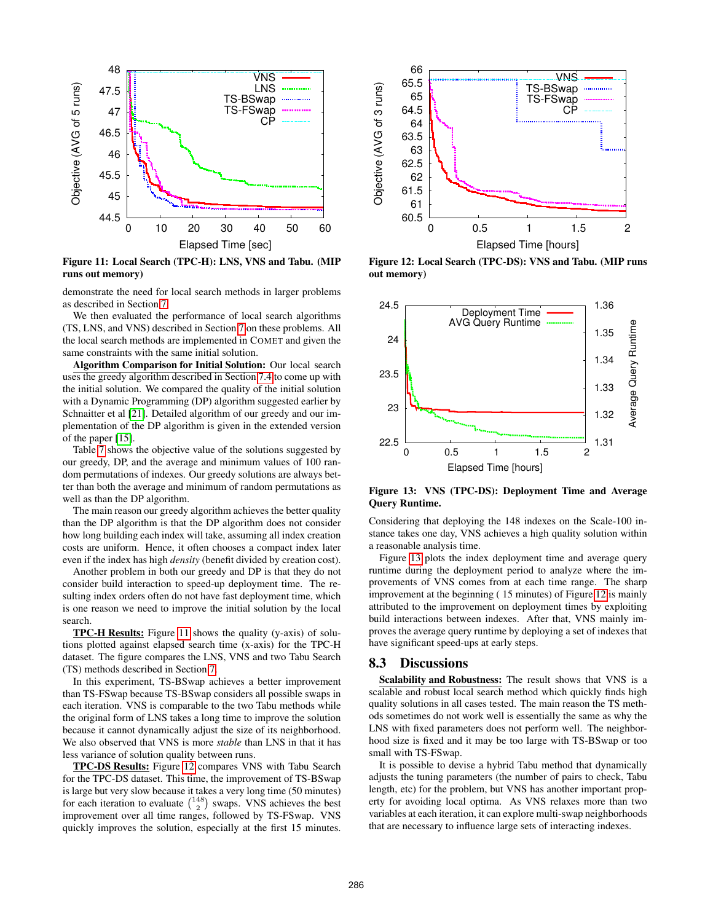

<span id="page-10-0"></span>Figure 11: Local Search (TPC-H): LNS, VNS and Tabu. (MIP runs out memory)

demonstrate the need for local search methods in larger problems as described in Section [7.](#page-7-1)

We then evaluated the performance of local search algorithms (TS, LNS, and VNS) described in Section [7](#page-7-1) on these problems. All the local search methods are implemented in COMET and given the same constraints with the same initial solution.

Algorithm Comparison for Initial Solution: Our local search uses the greedy algorithm described in Section [7.4](#page-8-2) to come up with the initial solution. We compared the quality of the initial solution with a Dynamic Programming (DP) algorithm suggested earlier by Schnaitter et al [\[21\]](#page-11-14). Detailed algorithm of our greedy and our implementation of the DP algorithm is given in the extended version of the paper [\[15\]](#page-11-20).

Table [7](#page-9-4) shows the objective value of the solutions suggested by our greedy, DP, and the average and minimum values of 100 random permutations of indexes. Our greedy solutions are always better than both the average and minimum of random permutations as well as than the DP algorithm.

The main reason our greedy algorithm achieves the better quality than the DP algorithm is that the DP algorithm does not consider how long building each index will take, assuming all index creation costs are uniform. Hence, it often chooses a compact index later even if the index has high *density* (benefit divided by creation cost).

Another problem in both our greedy and DP is that they do not consider build interaction to speed-up deployment time. The resulting index orders often do not have fast deployment time, which is one reason we need to improve the initial solution by the local search.

TPC-H Results: Figure [11](#page-10-0) shows the quality (y-axis) of solutions plotted against elapsed search time (x-axis) for the TPC-H dataset. The figure compares the LNS, VNS and two Tabu Search (TS) methods described in Section [7.](#page-7-1)

In this experiment, TS-BSwap achieves a better improvement than TS-FSwap because TS-BSwap considers all possible swaps in each iteration. VNS is comparable to the two Tabu methods while the original form of LNS takes a long time to improve the solution because it cannot dynamically adjust the size of its neighborhood. We also observed that VNS is more *stable* than LNS in that it has less variance of solution quality between runs.

TPC-DS Results: Figure [12](#page-10-1) compares VNS with Tabu Search for the TPC-DS dataset. This time, the improvement of TS-BSwap is large but very slow because it takes a very long time (50 minutes) for each iteration to evaluate  $\binom{148}{2}$  swaps. VNS achieves the best improvement over all time ranges, followed by TS-FSwap. VNS quickly improves the solution, especially at the first 15 minutes.



<span id="page-10-1"></span>Figure 12: Local Search (TPC-DS): VNS and Tabu. (MIP runs out memory)



<span id="page-10-2"></span>Figure 13: VNS (TPC-DS): Deployment Time and Average Query Runtime.

Considering that deploying the 148 indexes on the Scale-100 instance takes one day, VNS achieves a high quality solution within a reasonable analysis time.

Figure [13](#page-10-2) plots the index deployment time and average query runtime during the deployment period to analyze where the improvements of VNS comes from at each time range. The sharp improvement at the beginning ( 15 minutes) of Figure [12](#page-10-1) is mainly attributed to the improvement on deployment times by exploiting build interactions between indexes. After that, VNS mainly improves the average query runtime by deploying a set of indexes that have significant speed-ups at early steps.

#### 8.3 Discussions

Scalability and Robustness: The result shows that VNS is a scalable and robust local search method which quickly finds high quality solutions in all cases tested. The main reason the TS methods sometimes do not work well is essentially the same as why the LNS with fixed parameters does not perform well. The neighborhood size is fixed and it may be too large with TS-BSwap or too small with TS-FSwap.

It is possible to devise a hybrid Tabu method that dynamically adjusts the tuning parameters (the number of pairs to check, Tabu length, etc) for the problem, but VNS has another important property for avoiding local optima. As VNS relaxes more than two variables at each iteration, it can explore multi-swap neighborhoods that are necessary to influence large sets of interacting indexes.